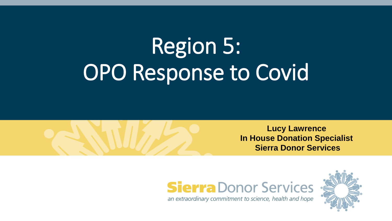# Region 5: OPO Response to Covid







an extraordinary commitment to science, health and hope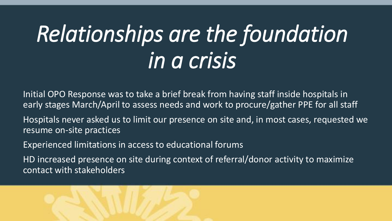## *Relationships are the foundation in a crisis*

Initial OPO Response was to take a brief break from having staff inside hospitals in early stages March/April to assess needs and work to procure/gather PPE for all staff

Hospitals never asked us to limit our presence on site and, in most cases, requested we resume on-site practices

Experienced limitations in access to educational forums

HD increased presence on site during context of referral/donor activity to maximize contact with stakeholders

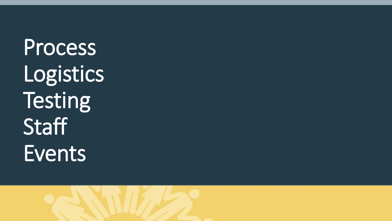Process Logistics Testing **Staff** Events

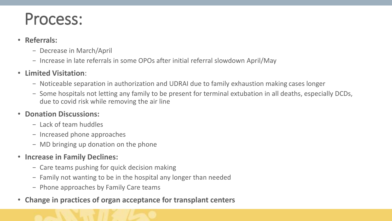### Process:

#### • **Referrals:**

- − Decrease in March/April
- − Increase in late referrals in some OPOs after initial referral slowdown April/May

#### • **Limited Visitation**:

- − Noticeable separation in authorization and UDRAI due to family exhaustion making cases longer
- − Some hospitals not letting any family to be present for terminal extubation in all deaths, especially DCDs, due to covid risk while removing the air line

#### • **Donation Discussions:**

- − Lack of team huddles
- − Increased phone approaches
- − MD bringing up donation on the phone
- **Increase in Family Declines:**
	- − Care teams pushing for quick decision making
	- − Family not wanting to be in the hospital any longer than needed
	- − Phone approaches by Family Care teams
- **Change in practices of organ acceptance for transplant centers**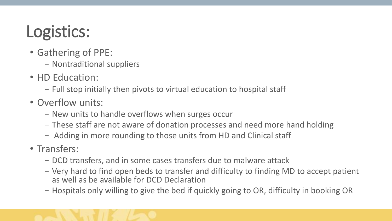## Logistics:

- Gathering of PPE:
	- − Nontraditional suppliers
- HD Education:
	- − Full stop initially then pivots to virtual education to hospital staff
- Overflow units:
	- − New units to handle overflows when surges occur
	- − These staff are not aware of donation processes and need more hand holding
	- − Adding in more rounding to those units from HD and Clinical staff
- Transfers:
	- − DCD transfers, and in some cases transfers due to malware attack
	- − Very hard to find open beds to transfer and difficulty to finding MD to accept patient as well as be available for DCD Declaration
	- − Hospitals only willing to give the bed if quickly going to OR, difficulty in booking OR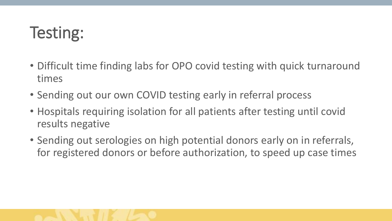### Testing:

- Difficult time finding labs for OPO covid testing with quick turnaround times
- Sending out our own COVID testing early in referral process
- Hospitals requiring isolation for all patients after testing until covid results negative
- Sending out serologies on high potential donors early on in referrals, for registered donors or before authorization, to speed up case times

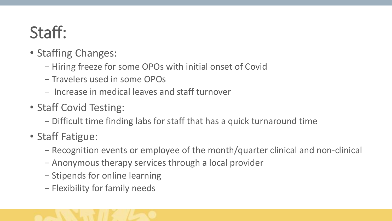## Staff:

- Staffing Changes:
	- − Hiring freeze for some OPOs with initial onset of Covid
	- − Travelers used in some OPOs
	- − Increase in medical leaves and staff turnover
- Staff Covid Testing:
	- − Difficult time finding labs for staff that has a quick turnaround time
- Staff Fatigue:
	- − Recognition events or employee of the month/quarter clinical and non-clinical
	- − Anonymous therapy services through a local provider
	- − Stipends for online learning
	- − Flexibility for family needs